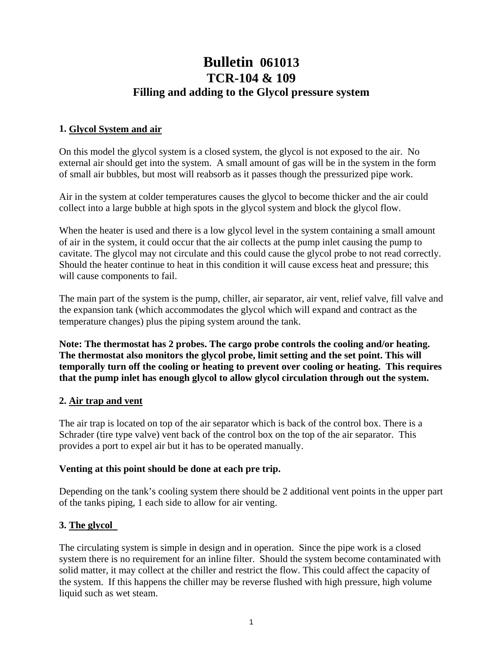# **Bulletin 061013 TCR-104 & 109 Filling and adding to the Glycol pressure system**

### **1. Glycol System and air**

On this model the glycol system is a closed system, the glycol is not exposed to the air. No external air should get into the system. A small amount of gas will be in the system in the form of small air bubbles, but most will reabsorb as it passes though the pressurized pipe work.

Air in the system at colder temperatures causes the glycol to become thicker and the air could collect into a large bubble at high spots in the glycol system and block the glycol flow.

When the heater is used and there is a low glycol level in the system containing a small amount of air in the system, it could occur that the air collects at the pump inlet causing the pump to cavitate. The glycol may not circulate and this could cause the glycol probe to not read correctly. Should the heater continue to heat in this condition it will cause excess heat and pressure; this will cause components to fail.

The main part of the system is the pump, chiller, air separator, air vent, relief valve, fill valve and the expansion tank (which accommodates the glycol which will expand and contract as the temperature changes) plus the piping system around the tank.

**Note: The thermostat has 2 probes. The cargo probe controls the cooling and/or heating. The thermostat also monitors the glycol probe, limit setting and the set point. This will temporally turn off the cooling or heating to prevent over cooling or heating. This requires that the pump inlet has enough glycol to allow glycol circulation through out the system.** 

#### **2. Air trap and vent**

The air trap is located on top of the air separator which is back of the control box. There is a Schrader (tire type valve) vent back of the control box on the top of the air separator. This provides a port to expel air but it has to be operated manually.

#### **Venting at this point should be done at each pre trip.**

Depending on the tank's cooling system there should be 2 additional vent points in the upper part of the tanks piping, 1 each side to allow for air venting.

## **3. The glycol**

The circulating system is simple in design and in operation. Since the pipe work is a closed system there is no requirement for an inline filter. Should the system become contaminated with solid matter, it may collect at the chiller and restrict the flow. This could affect the capacity of the system. If this happens the chiller may be reverse flushed with high pressure, high volume liquid such as wet steam.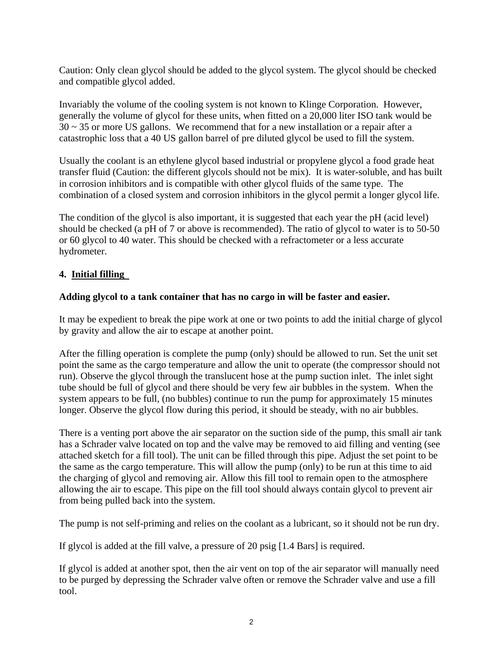Caution: Only clean glycol should be added to the glycol system. The glycol should be checked and compatible glycol added.

Invariably the volume of the cooling system is not known to Klinge Corporation. However, generally the volume of glycol for these units, when fitted on a 20,000 liter ISO tank would be  $30 \sim 35$  or more US gallons. We recommend that for a new installation or a repair after a catastrophic loss that a 40 US gallon barrel of pre diluted glycol be used to fill the system.

Usually the coolant is an ethylene glycol based industrial or propylene glycol a food grade heat transfer fluid (Caution: the different glycols should not be mix). It is water-soluble, and has built in corrosion inhibitors and is compatible with other glycol fluids of the same type. The combination of a closed system and corrosion inhibitors in the glycol permit a longer glycol life.

The condition of the glycol is also important, it is suggested that each year the pH (acid level) should be checked (a pH of 7 or above is recommended). The ratio of glycol to water is to 50-50 or 60 glycol to 40 water. This should be checked with a refractometer or a less accurate hydrometer.

## **4. Initial filling**

#### **Adding glycol to a tank container that has no cargo in will be faster and easier.**

It may be expedient to break the pipe work at one or two points to add the initial charge of glycol by gravity and allow the air to escape at another point.

After the filling operation is complete the pump (only) should be allowed to run. Set the unit set point the same as the cargo temperature and allow the unit to operate (the compressor should not run). Observe the glycol through the translucent hose at the pump suction inlet. The inlet sight tube should be full of glycol and there should be very few air bubbles in the system. When the system appears to be full, (no bubbles) continue to run the pump for approximately 15 minutes longer. Observe the glycol flow during this period, it should be steady, with no air bubbles.

There is a venting port above the air separator on the suction side of the pump, this small air tank has a Schrader valve located on top and the valve may be removed to aid filling and venting (see attached sketch for a fill tool). The unit can be filled through this pipe. Adjust the set point to be the same as the cargo temperature. This will allow the pump (only) to be run at this time to aid the charging of glycol and removing air. Allow this fill tool to remain open to the atmosphere allowing the air to escape. This pipe on the fill tool should always contain glycol to prevent air from being pulled back into the system.

The pump is not self-priming and relies on the coolant as a lubricant, so it should not be run dry.

If glycol is added at the fill valve, a pressure of 20 psig [1.4 Bars] is required.

If glycol is added at another spot, then the air vent on top of the air separator will manually need to be purged by depressing the Schrader valve often or remove the Schrader valve and use a fill tool.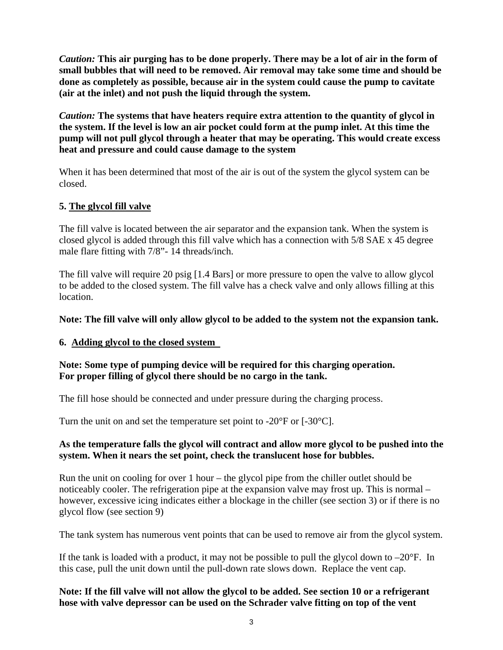*Caution:* **This air purging has to be done properly. There may be a lot of air in the form of small bubbles that will need to be removed. Air removal may take some time and should be done as completely as possible, because air in the system could cause the pump to cavitate (air at the inlet) and not push the liquid through the system.** 

*Caution:* **The systems that have heaters require extra attention to the quantity of glycol in the system. If the level is low an air pocket could form at the pump inlet. At this time the pump will not pull glycol through a heater that may be operating. This would create excess heat and pressure and could cause damage to the system**

When it has been determined that most of the air is out of the system the glycol system can be closed.

## **5. The glycol fill valve**

The fill valve is located between the air separator and the expansion tank. When the system is closed glycol is added through this fill valve which has a connection with 5/8 SAE x 45 degree male flare fitting with 7/8"- 14 threads/inch.

The fill valve will require 20 psig [1.4 Bars] or more pressure to open the valve to allow glycol to be added to the closed system. The fill valve has a check valve and only allows filling at this location.

#### **Note: The fill valve will only allow glycol to be added to the system not the expansion tank.**

## **6. Adding glycol to the closed system**

#### **Note: Some type of pumping device will be required for this charging operation. For proper filling of glycol there should be no cargo in the tank.**

The fill hose should be connected and under pressure during the charging process.

Turn the unit on and set the temperature set point to -20°F or [-30°C].

#### **As the temperature falls the glycol will contract and allow more glycol to be pushed into the system. When it nears the set point, check the translucent hose for bubbles.**

Run the unit on cooling for over 1 hour – the glycol pipe from the chiller outlet should be noticeably cooler. The refrigeration pipe at the expansion valve may frost up. This is normal – however, excessive icing indicates either a blockage in the chiller (see section 3) or if there is no glycol flow (see section 9)

The tank system has numerous vent points that can be used to remove air from the glycol system.

If the tank is loaded with a product, it may not be possible to pull the glycol down to  $-20^{\circ}$ F. In this case, pull the unit down until the pull-down rate slows down. Replace the vent cap.

#### **Note: If the fill valve will not allow the glycol to be added. See section 10 or a refrigerant hose with valve depressor can be used on the Schrader valve fitting on top of the vent**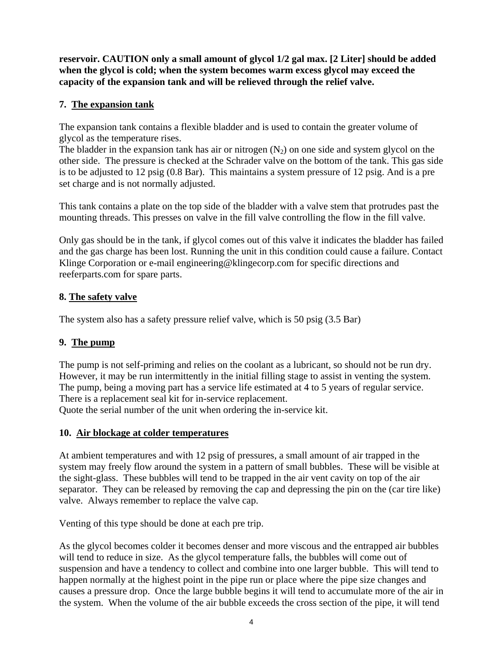**reservoir. CAUTION only a small amount of glycol 1/2 gal max. [2 Liter] should be added when the glycol is cold; when the system becomes warm excess glycol may exceed the capacity of the expansion tank and will be relieved through the relief valve.** 

# **7. The expansion tank**

The expansion tank contains a flexible bladder and is used to contain the greater volume of glycol as the temperature rises.

The bladder in the expansion tank has air or nitrogen  $(N_2)$  on one side and system glycol on the other side. The pressure is checked at the Schrader valve on the bottom of the tank. This gas side is to be adjusted to 12 psig (0.8 Bar). This maintains a system pressure of 12 psig. And is a pre set charge and is not normally adjusted.

This tank contains a plate on the top side of the bladder with a valve stem that protrudes past the mounting threads. This presses on valve in the fill valve controlling the flow in the fill valve.

Only gas should be in the tank, if glycol comes out of this valve it indicates the bladder has failed and the gas charge has been lost. Running the unit in this condition could cause a failure. Contact Klinge Corporation or e-mail engineering@klingecorp.com for specific directions and reeferparts.com for spare parts.

## **8. The safety valve**

The system also has a safety pressure relief valve, which is 50 psig (3.5 Bar)

## **9. The pump**

The pump is not self-priming and relies on the coolant as a lubricant, so should not be run dry. However, it may be run intermittently in the initial filling stage to assist in venting the system. The pump, being a moving part has a service life estimated at 4 to 5 years of regular service. There is a replacement seal kit for in-service replacement. Quote the serial number of the unit when ordering the in-service kit.

# **10. Air blockage at colder temperatures**

At ambient temperatures and with 12 psig of pressures, a small amount of air trapped in the system may freely flow around the system in a pattern of small bubbles. These will be visible at the sight-glass. These bubbles will tend to be trapped in the air vent cavity on top of the air separator. They can be released by removing the cap and depressing the pin on the (car tire like) valve. Always remember to replace the valve cap.

Venting of this type should be done at each pre trip.

As the glycol becomes colder it becomes denser and more viscous and the entrapped air bubbles will tend to reduce in size. As the glycol temperature falls, the bubbles will come out of suspension and have a tendency to collect and combine into one larger bubble. This will tend to happen normally at the highest point in the pipe run or place where the pipe size changes and causes a pressure drop. Once the large bubble begins it will tend to accumulate more of the air in the system. When the volume of the air bubble exceeds the cross section of the pipe, it will tend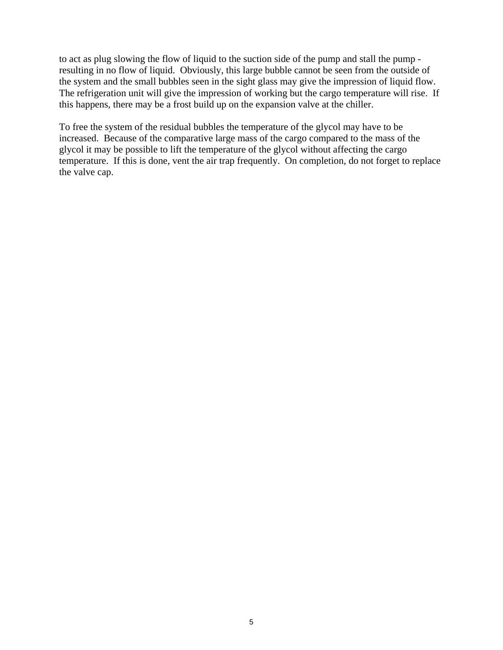to act as plug slowing the flow of liquid to the suction side of the pump and stall the pump resulting in no flow of liquid. Obviously, this large bubble cannot be seen from the outside of the system and the small bubbles seen in the sight glass may give the impression of liquid flow. The refrigeration unit will give the impression of working but the cargo temperature will rise. If this happens, there may be a frost build up on the expansion valve at the chiller.

To free the system of the residual bubbles the temperature of the glycol may have to be increased. Because of the comparative large mass of the cargo compared to the mass of the glycol it may be possible to lift the temperature of the glycol without affecting the cargo temperature. If this is done, vent the air trap frequently. On completion, do not forget to replace the valve cap.